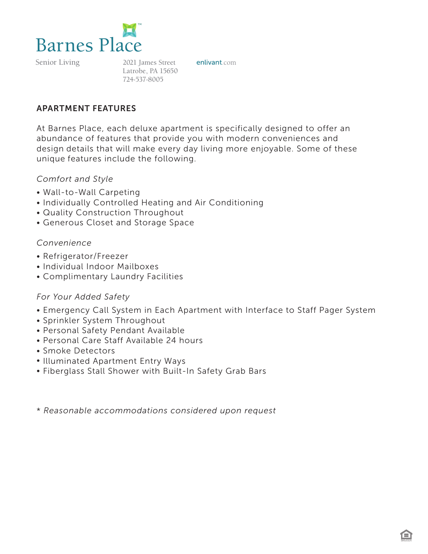

2021 James Street enlivant.com Latrobe, PA 15650 724-537-8005

### APARTMENT FEATURES

At Barnes Place, each deluxe apartment is specifically designed to offer an abundance of features that provide you with modern conveniences and design details that will make every day living more enjoyable. Some of these unique features include the following.

#### *Comfort and Style*

- Wall-to-Wall Carpeting
- Individually Controlled Heating and Air Conditioning
- Quality Construction Throughout
- Generous Closet and Storage Space

#### *Convenience*

- Refrigerator/Freezer
- Individual Indoor Mailboxes
- Complimentary Laundry Facilities

### *For Your Added Safety*

- Emergency Call System in Each Apartment with Interface to Staff Pager System
- Sprinkler System Throughout
- Personal Safety Pendant Available
- Personal Care Staff Available 24 hours
- Smoke Detectors
- Illuminated Apartment Entry Ways
- Fiberglass Stall Shower with Built-In Safety Grab Bars

\* *Reasonable accommodations considered upon request*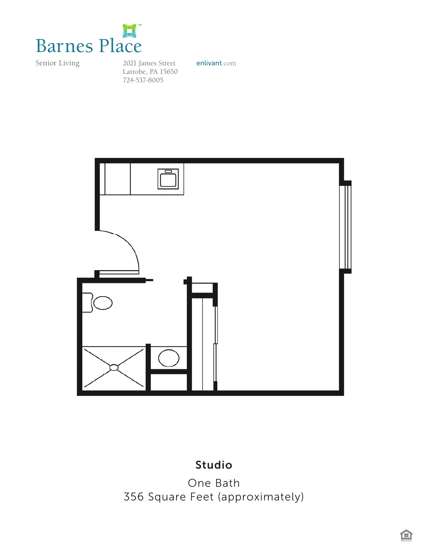

2021 James Street **enlivant**.com Latrobe, PA 15650 724-537-8005



### *Studio* Studio

*356 Square Feet (approximately)* One Bath 356 Square Feet (approximately)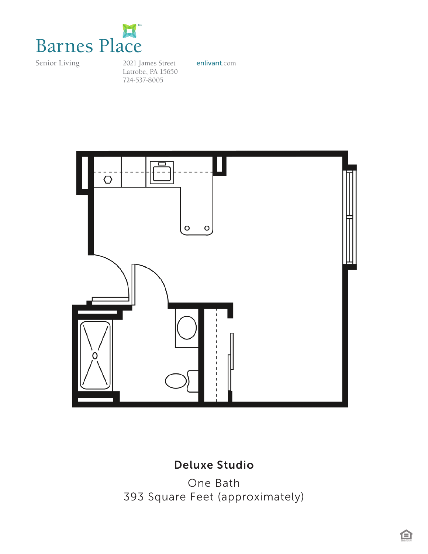

2021 James Street **enlivant**.com Latrobe, PA 15650 724-537-8005



# *Deluxe Studio*  Deluxe Studio

*One Bedroom / One Bath*  One Bath *393 Square Feet (approximately)* 393 Square Feet (approximately)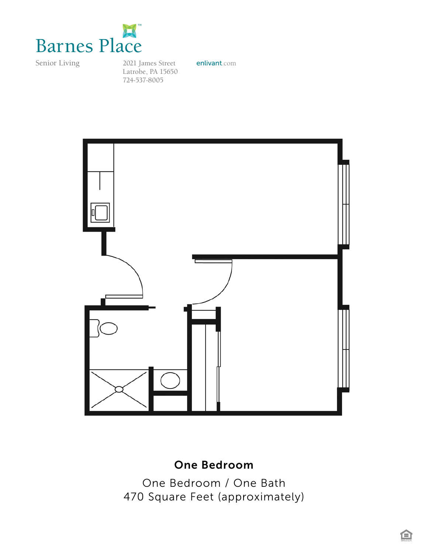

*Barnes House*  2021 James Street **enlivant**.com Latrobe, PA 15650 724-537-8005



### *470 Square Feet* One Bedroom *(approximately)*

One Bedroom / One Bath 470 Square Feet (approximately)